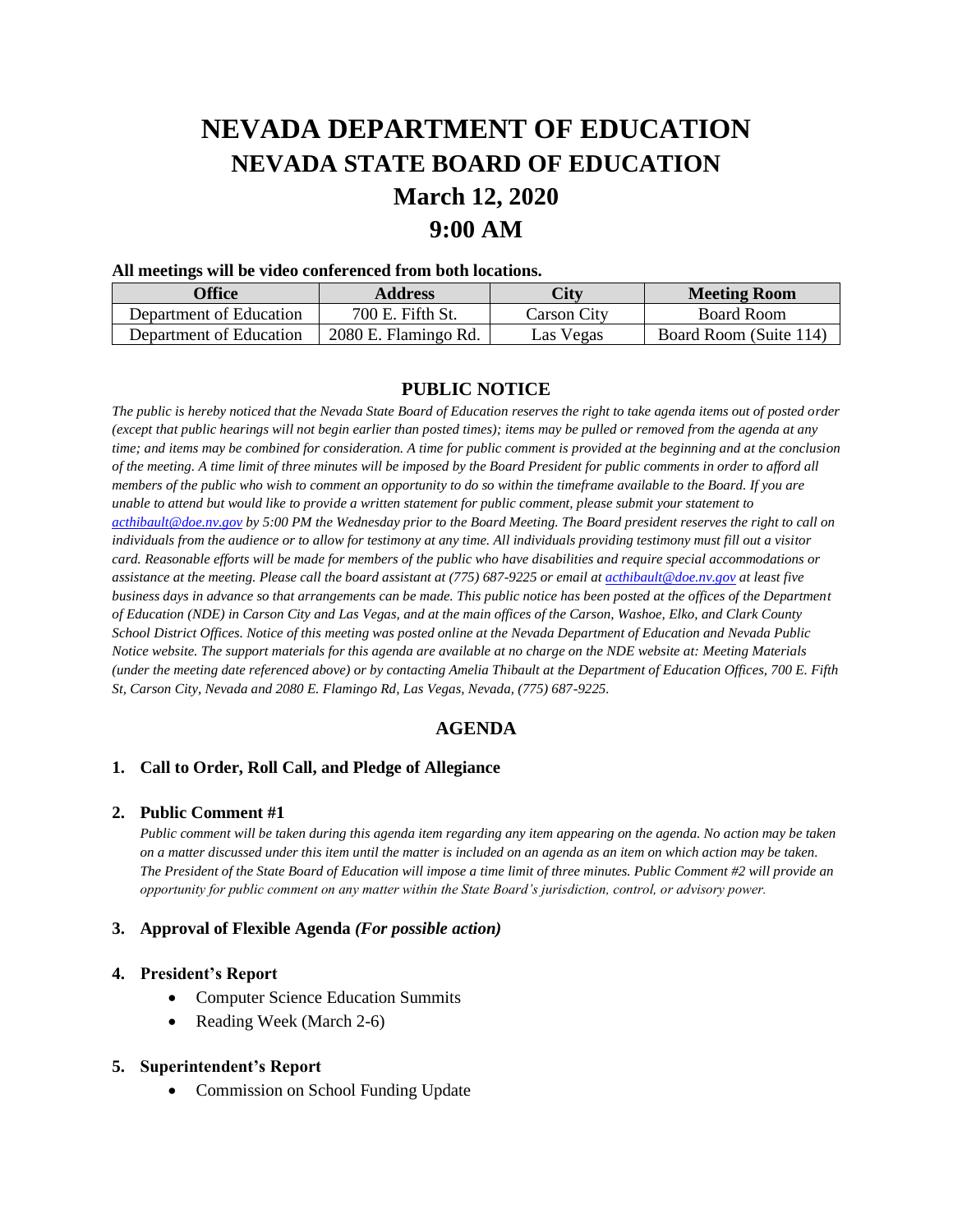# **NEVADA DEPARTMENT OF EDUCATION NEVADA STATE BOARD OF EDUCATION March 12, 2020 9:00 AM**

#### **All meetings will be video conferenced from both locations.**

| Office                  | <b>Address</b>       | City        | <b>Meeting Room</b>    |
|-------------------------|----------------------|-------------|------------------------|
| Department of Education | 700 E. Fifth St.     | Carson Citv | Board Room             |
| Department of Education | 2080 E. Flamingo Rd. | Las Vegas   | Board Room (Suite 114) |

## **PUBLIC NOTICE**

*The public is hereby noticed that the Nevada State Board of Education reserves the right to take agenda items out of posted order (except that public hearings will not begin earlier than posted times); items may be pulled or removed from the agenda at any time; and items may be combined for consideration. A time for public comment is provided at the beginning and at the conclusion of the meeting. A time limit of three minutes will be imposed by the Board President for public comments in order to afford all members of the public who wish to comment an opportunity to do so within the timeframe available to the Board. If you are unable to attend but would like to provide a written statement for public comment, please submit your statement to [acthibault@doe.nv.gov](mailto:acthibault@doe.nv.gov) by 5:00 PM the Wednesday prior to the Board Meeting. The Board president reserves the right to call on individuals from the audience or to allow for testimony at any time. All individuals providing testimony must fill out a visitor card. Reasonable efforts will be made for members of the public who have disabilities and require special accommodations or assistance at the meeting. Please call the board assistant at (775) 687-9225 or email at [acthibault@doe.nv.gov](mailto:acthibault@doe.nv.gov) at least five business days in advance so that arrangements can be made. This public notice has been posted at the offices of the Department of Education (NDE) in Carson City and Las Vegas, and at the main offices of the Carson, Washoe, Elko, and Clark County School District Offices. Notice of this meeting was posted online at the Nevada Department of Education and Nevada Public Notice website. The support materials for this agenda are available at no charge on the NDE website at: Meeting Materials (under the meeting date referenced above) or by contacting Amelia Thibault at the Department of Education Offices, 700 E. Fifth St, Carson City, Nevada and 2080 E. Flamingo Rd, Las Vegas, Nevada, (775) 687-9225.* 

## **AGENDA**

#### **1. Call to Order, Roll Call, and Pledge of Allegiance**

#### **2. Public Comment #1**

*Public comment will be taken during this agenda item regarding any item appearing on the agenda. No action may be taken on a matter discussed under this item until the matter is included on an agenda as an item on which action may be taken. The President of the State Board of Education will impose a time limit of three minutes. Public Comment #2 will provide an opportunity for public comment on any matter within the State Board's jurisdiction, control, or advisory power.*

#### **3. Approval of Flexible Agenda** *(For possible action)*

#### **4. President's Report**

- Computer Science Education Summits
- Reading Week (March 2-6)

#### **5. Superintendent's Report**

• Commission on School Funding Update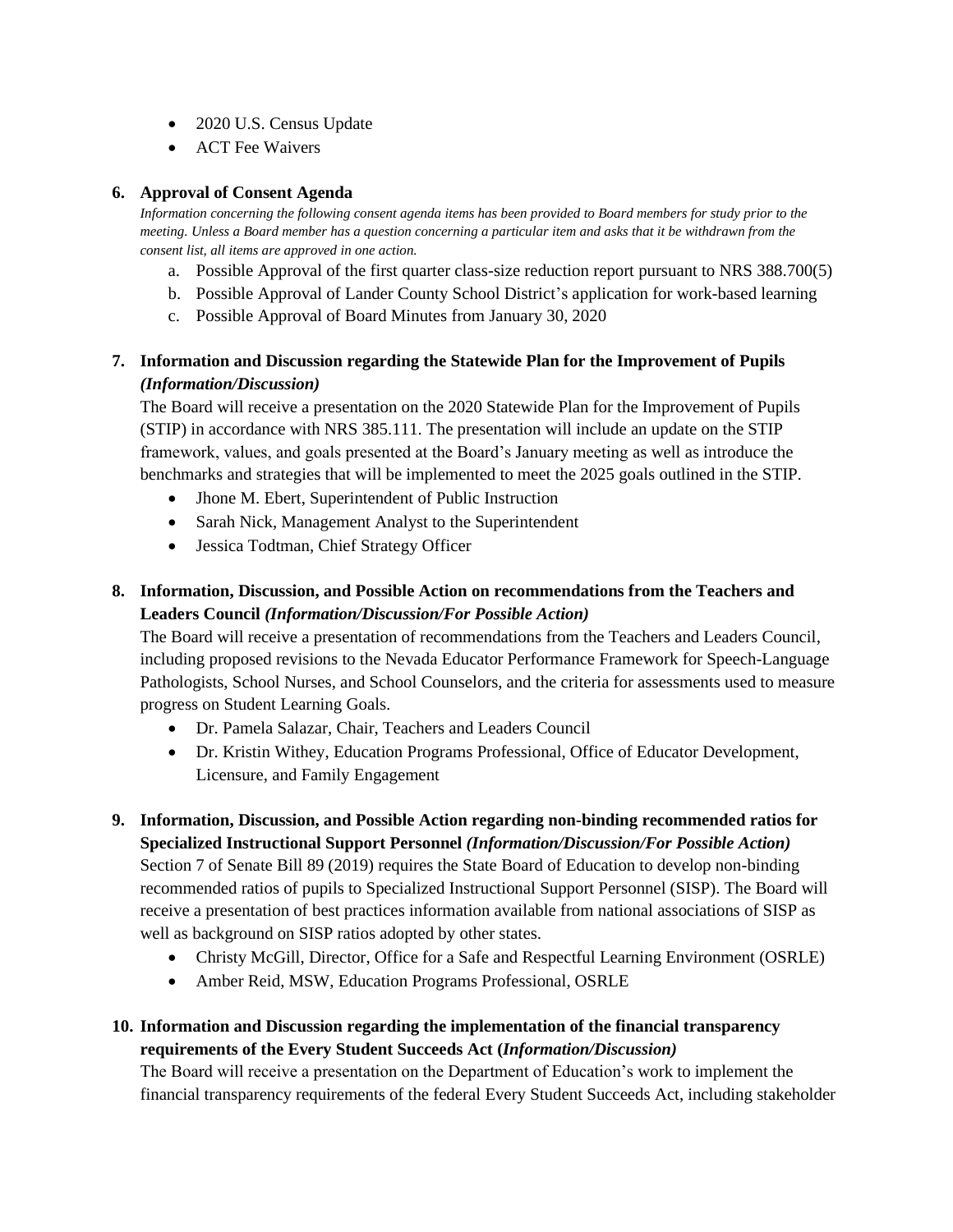- 2020 U.S. Census Update
- ACT Fee Waivers

# **6. Approval of Consent Agenda**

*Information concerning the following consent agenda items has been provided to Board members for study prior to the meeting. Unless a Board member has a question concerning a particular item and asks that it be withdrawn from the consent list, all items are approved in one action.* 

- a. Possible Approval of the first quarter class-size reduction report pursuant to NRS 388.700(5)
- b. Possible Approval of Lander County School District's application for work-based learning
- c. Possible Approval of Board Minutes from January 30, 2020

# **7. Information and Discussion regarding the Statewide Plan for the Improvement of Pupils**  *(Information/Discussion)*

The Board will receive a presentation on the 2020 Statewide Plan for the Improvement of Pupils (STIP) in accordance with NRS 385.111. The presentation will include an update on the STIP framework, values, and goals presented at the Board's January meeting as well as introduce the benchmarks and strategies that will be implemented to meet the 2025 goals outlined in the STIP.

- Jhone M. Ebert, Superintendent of Public Instruction
- Sarah Nick, Management Analyst to the Superintendent
- Jessica Todtman, Chief Strategy Officer

# **8. Information, Discussion, and Possible Action on recommendations from the Teachers and Leaders Council** *(Information/Discussion/For Possible Action)*

The Board will receive a presentation of recommendations from the Teachers and Leaders Council, including proposed revisions to the Nevada Educator Performance Framework for Speech-Language Pathologists, School Nurses, and School Counselors, and the criteria for assessments used to measure progress on Student Learning Goals.

- Dr. Pamela Salazar, Chair, Teachers and Leaders Council
- Dr. Kristin Withey, Education Programs Professional, Office of Educator Development, Licensure, and Family Engagement
- **9. Information, Discussion, and Possible Action regarding non-binding recommended ratios for Specialized Instructional Support Personnel** *(Information/Discussion/For Possible Action)* Section 7 of Senate Bill 89 (2019) requires the State Board of Education to develop non-binding recommended ratios of pupils to Specialized Instructional Support Personnel (SISP). The Board will receive a presentation of best practices information available from national associations of SISP as well as background on SISP ratios adopted by other states.
	- Christy McGill, Director, Office for a Safe and Respectful Learning Environment (OSRLE)
	- Amber Reid, MSW, Education Programs Professional, OSRLE

# **10. Information and Discussion regarding the implementation of the financial transparency requirements of the Every Student Succeeds Act (***Information/Discussion)*

The Board will receive a presentation on the Department of Education's work to implement the financial transparency requirements of the federal Every Student Succeeds Act, including stakeholder